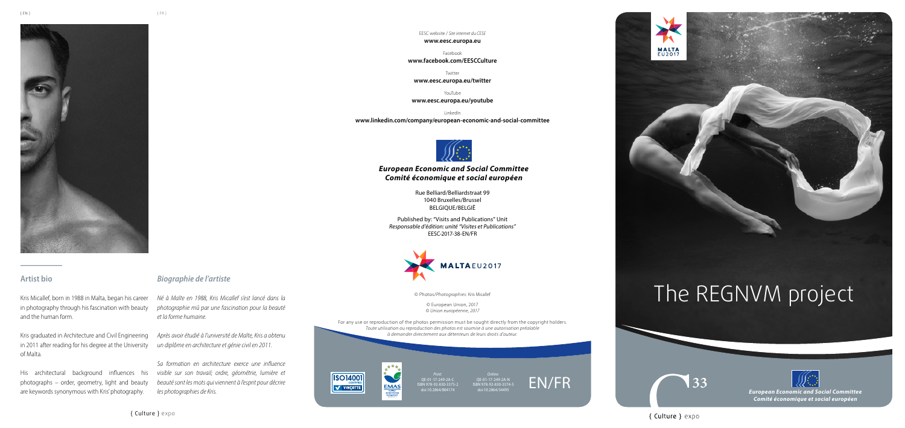*European Economic and Social Committee Comité économique et social européen*

{ Culture } expo

## *European Economic and Social Committee Comité économique et social européen*

Rue Belliard/Belliardstraat 99 1040 Bruxelles/Brussel BELGIQUE/BELGIË

Published by: "Visits and Publications" Unit *Responsable d'édition: unité "Visites et Publications"* EESC-2017-38-EN/FR



EESC website / *Site internet du CESE*

#### **www.eesc.europa.eu**

Facebook **www.facebook.com/EESCCulture**

Twitter

**www.eesc.europa.eu/twitter**

YouTube

**www.eesc.europa.eu/youtube**

LinkedIn **www.linkedin.com/company/european-economic-and-social-committee**



© Photos/*Photographies*: Kris Micallef

© European Union, 2017 *© Union européenne, 2017*

For any use or reproduction of the photos permission must be sought directly from the copyright holders. *Toute utilisation ou reproduction des photos est soumise à une autorisation préalable à demander directement aux détenteurs de leurs droits d'auteur.*





*Online:* QE-01-17-249-2A-N ISBN 978-92-830-3374-5 doi:10.2864/34495

*Print:* QE-01-17-249-2A-C ISBN 978-92-830-3375-2 doi:10.2864/004174





## **Artist bio**

Kris Micallef, born in 1988 in Malta, began his career in photography through his fascination with beauty and the human form.

Kris graduated in Architecture and Civil Engineering in 2011 after reading for his degree at the University of Malta.

His architectural background influences his photographs – order, geometry, light and beauty are keywords synonymous with Kris' photography.

## *Biographie de l'artiste*

*Né à Malte en 1988, Kris Micallef s'est lancé dans la photographie mû par une fascination pour la beauté et la forme humaine.*

*Après avoir étudié à l'université de Malte, Kris a obtenu un diplôme en architecture et génie civil en 2011.* 

*Sa formation en architecture exerce une influence visible sur son travail; ordre, géométrie, lumière et beauté sont les mots qui viennent à l'esprit pour décrire les photographies de Kris.*





# The REGNVM project